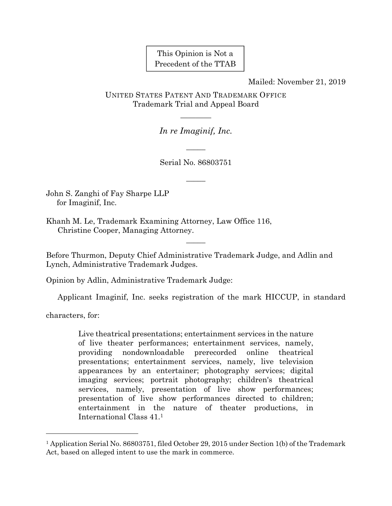This Opinion is Not a Precedent of the TTAB

Mailed: November 21, 2019

UNITED STATES PATENT AND TRADEMARK OFFICE Trademark Trial and Appeal Board

*In re Imaginif, Inc.* 

 $\overline{\phantom{a}}$ 

————

Serial No. 86803751

 $\overline{\phantom{a}}$ 

John S. Zanghi of Fay Sharpe LLP for Imaginif, Inc.

Khanh M. Le, Trademark Examining Attorney, Law Office 116, Christine Cooper, Managing Attorney.

Before Thurmon, Deputy Chief Administrative Trademark Judge, and Adlin and Lynch, Administrative Trademark Judges.

 $\overline{\phantom{a}}$ 

Opinion by Adlin, Administrative Trademark Judge:

Applicant Imaginif, Inc. seeks registration of the mark HICCUP, in standard

characters, for:

l

Live theatrical presentations; entertainment services in the nature of live theater performances; entertainment services, namely, providing nondownloadable prerecorded online theatrical presentations; entertainment services, namely, live television appearances by an entertainer; photography services; digital imaging services; portrait photography; children's theatrical services, namely, presentation of live show performances; presentation of live show performances directed to children; entertainment in the nature of theater productions, in International Class 41.1

<sup>1</sup> Application Serial No. 86803751, filed October 29, 2015 under Section 1(b) of the Trademark Act, based on alleged intent to use the mark in commerce.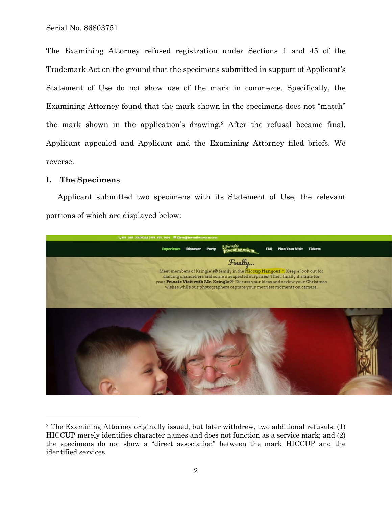The Examining Attorney refused registration under Sections 1 and 45 of the Trademark Act on the ground that the specimens submitted in support of Applicant's Statement of Use do not show use of the mark in commerce. Specifically, the Examining Attorney found that the mark shown in the specimens does not "match" the mark shown in the application's drawing.2 After the refusal became final, Applicant appealed and Applicant and the Examining Attorney filed briefs. We reverse.

### **I. The Specimens**

 $\overline{a}$ 

Applicant submitted two specimens with its Statement of Use, the relevant portions of which are displayed below:



<sup>2</sup> The Examining Attorney originally issued, but later withdrew, two additional refusals: (1) HICCUP merely identifies character names and does not function as a service mark; and (2) the specimens do not show a "direct association" between the mark HICCUP and the identified services.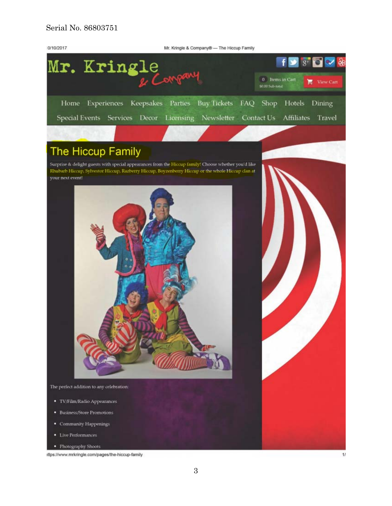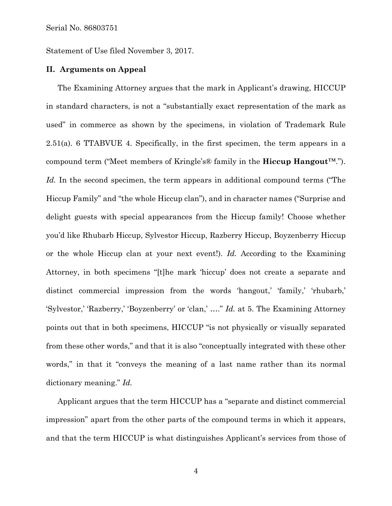Statement of Use filed November 3, 2017.

#### **II. Arguments on Appeal**

The Examining Attorney argues that the mark in Applicant's drawing, HICCUP in standard characters, is not a "substantially exact representation of the mark as used" in commerce as shown by the specimens, in violation of Trademark Rule 2.51(a). 6 TTABVUE 4. Specifically, in the first specimen, the term appears in a compound term ("Meet members of Kringle's® family in the **Hiccup Hangout**™."). *Id.* In the second specimen, the term appears in additional compound terms ("The Hiccup Family" and "the whole Hiccup clan"), and in character names ("Surprise and delight guests with special appearances from the Hiccup family! Choose whether you'd like Rhubarb Hiccup, Sylvestor Hiccup, Razberry Hiccup, Boyzenberry Hiccup or the whole Hiccup clan at your next event!). *Id.* According to the Examining Attorney, in both specimens "[t]he mark 'hiccup' does not create a separate and distinct commercial impression from the words 'hangout,' 'family,' 'rhubarb,' 'Sylvestor,' 'Razberry,' 'Boyzenberry' or 'clan,' …." *Id.* at 5. The Examining Attorney points out that in both specimens, HICCUP "is not physically or visually separated from these other words," and that it is also "conceptually integrated with these other words," in that it "conveys the meaning of a last name rather than its normal dictionary meaning." *Id.*

Applicant argues that the term HICCUP has a "separate and distinct commercial impression" apart from the other parts of the compound terms in which it appears, and that the term HICCUP is what distinguishes Applicant's services from those of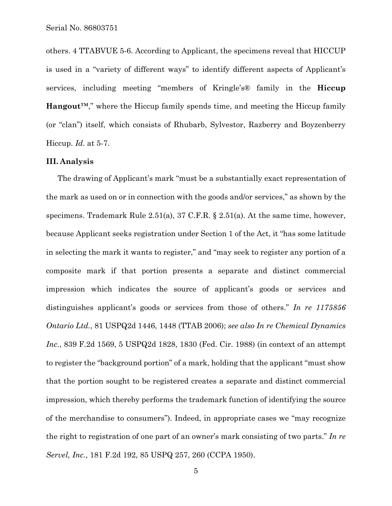others. 4 TTABVUE 5-6. According to Applicant, the specimens reveal that HICCUP is used in a "variety of different ways" to identify different aspects of Applicant's services, including meeting "members of Kringle's® family in the **Hiccup Hangout**™," where the Hiccup family spends time, and meeting the Hiccup family (or "clan") itself, which consists of Rhubarb, Sylvestor, Razberry and Boyzenberry Hiccup. *Id.* at 5-7.

### **III. Analysis**

The drawing of Applicant's mark "must be a substantially exact representation of the mark as used on or in connection with the goods and/or services," as shown by the specimens. Trademark Rule 2.51(a), 37 C.F.R. § 2.51(a). At the same time, however, because Applicant seeks registration under Section 1 of the Act, it "has some latitude in selecting the mark it wants to register," and "may seek to register any portion of a composite mark if that portion presents a separate and distinct commercial impression which indicates the source of applicant's goods or services and distinguishes applicant's goods or services from those of others." *In re 1175856 Ontario Ltd.*, 81 USPQ2d 1446, 1448 (TTAB 2006); *see also In re Chemical Dynamics Inc.*, 839 F.2d 1569, 5 USPQ2d 1828, 1830 (Fed. Cir. 1988) (in context of an attempt to register the "background portion" of a mark, holding that the applicant "must show that the portion sought to be registered creates a separate and distinct commercial impression, which thereby performs the trademark function of identifying the source of the merchandise to consumers"). Indeed, in appropriate cases we "may recognize the right to registration of one part of an owner's mark consisting of two parts." *In re Servel, Inc.*, 181 F.2d 192, 85 USPQ 257, 260 (CCPA 1950).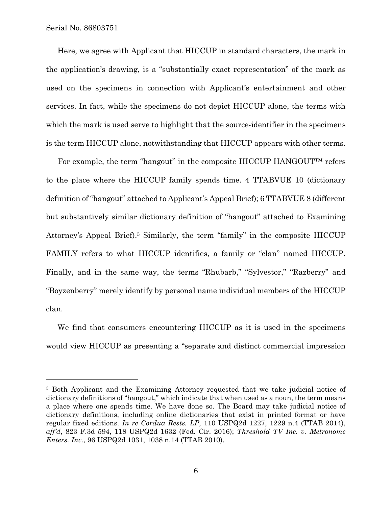$\overline{a}$ 

Here, we agree with Applicant that HICCUP in standard characters, the mark in the application's drawing, is a "substantially exact representation" of the mark as used on the specimens in connection with Applicant's entertainment and other services. In fact, while the specimens do not depict HICCUP alone, the terms with which the mark is used serve to highlight that the source-identifier in the specimens is the term HICCUP alone, notwithstanding that HICCUP appears with other terms.

For example, the term "hangout" in the composite HICCUP HANGOUT™ refers to the place where the HICCUP family spends time. 4 TTABVUE 10 (dictionary definition of "hangout" attached to Applicant's Appeal Brief); 6 TTABVUE 8 (different but substantively similar dictionary definition of "hangout" attached to Examining Attorney's Appeal Brief).3 Similarly, the term "family" in the composite HICCUP FAMILY refers to what HICCUP identifies, a family or "clan" named HICCUP. Finally, and in the same way, the terms "Rhubarb," "Sylvestor," "Razberry" and "Boyzenberry" merely identify by personal name individual members of the HICCUP clan.

We find that consumers encountering HICCUP as it is used in the specimens would view HICCUP as presenting a "separate and distinct commercial impression

<sup>3</sup> Both Applicant and the Examining Attorney requested that we take judicial notice of dictionary definitions of "hangout," which indicate that when used as a noun, the term means a place where one spends time. We have done so. The Board may take judicial notice of dictionary definitions, including online dictionaries that exist in printed format or have regular fixed editions. *In re Cordua Rests. LP*, 110 USPQ2d 1227, 1229 n.4 (TTAB 2014), *aff'd*, 823 F.3d 594, 118 USPQ2d 1632 (Fed. Cir. 2016); *Threshold TV Inc. v. Metronome Enters. Inc.*, 96 USPQ2d 1031, 1038 n.14 (TTAB 2010).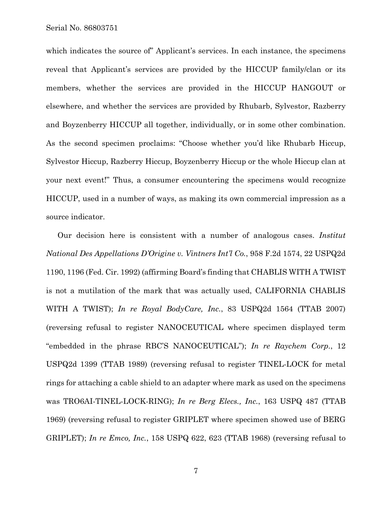which indicates the source of Applicant's services. In each instance, the specimens reveal that Applicant's services are provided by the HICCUP family/clan or its members, whether the services are provided in the HICCUP HANGOUT or elsewhere, and whether the services are provided by Rhubarb, Sylvestor, Razberry and Boyzenberry HICCUP all together, individually, or in some other combination. As the second specimen proclaims: "Choose whether you'd like Rhubarb Hiccup, Sylvestor Hiccup, Razberry Hiccup, Boyzenberry Hiccup or the whole Hiccup clan at your next event!" Thus, a consumer encountering the specimens would recognize HICCUP, used in a number of ways, as making its own commercial impression as a source indicator.

Our decision here is consistent with a number of analogous cases. *Institut National Des Appellations D'Origine v. Vintners Int'l Co.*, 958 F.2d 1574, 22 USPQ2d 1190, 1196 (Fed. Cir. 1992) (affirming Board's finding that CHABLIS WITH A TWIST is not a mutilation of the mark that was actually used, CALIFORNIA CHABLIS WITH A TWIST); *In re Royal BodyCare, Inc.*, 83 USPQ2d 1564 (TTAB 2007) (reversing refusal to register NANOCEUTICAL where specimen displayed term "embedded in the phrase RBC'S NANOCEUTICAL"); *In re Raychem Corp.*, 12 USPQ2d 1399 (TTAB 1989) (reversing refusal to register TINEL-LOCK for metal rings for attaching a cable shield to an adapter where mark as used on the specimens was TRO6AI-TINEL-LOCK-RING); *In re Berg Elecs., Inc.*, 163 USPQ 487 (TTAB 1969) (reversing refusal to register GRIPLET where specimen showed use of BERG GRIPLET); *In re Emco, Inc.*, 158 USPQ 622, 623 (TTAB 1968) (reversing refusal to